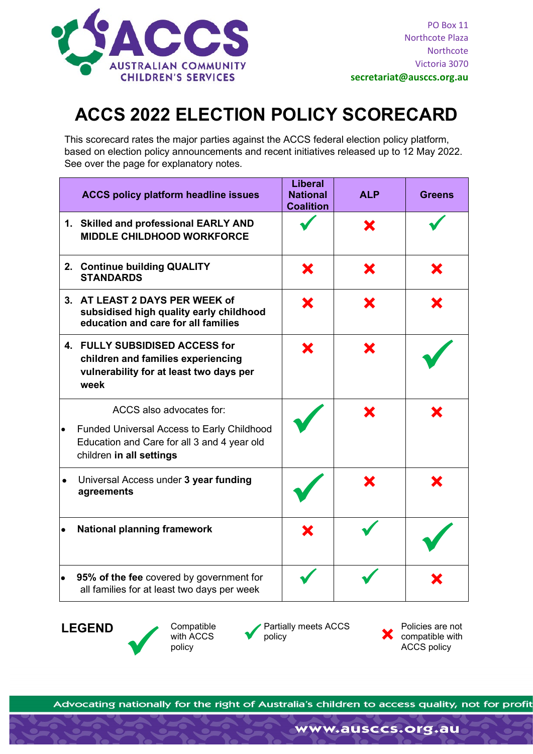

**secretariat@ausccs.org.au**

## **ACCS 2022 ELECTION POLICY SCORECARD**

This scorecard rates the major parties against the ACCS federal election policy platform, based on election policy announcements and recent initiatives released up to 12 May 2022. See over the page for explanatory notes.

|           | <b>ACCS policy platform headline issues</b>                                                                                                              | <b>Liberal</b><br><b>National</b><br><b>Coalition</b> | <b>ALP</b> | <b>Greens</b> |
|-----------|----------------------------------------------------------------------------------------------------------------------------------------------------------|-------------------------------------------------------|------------|---------------|
|           | 1. Skilled and professional EARLY AND<br><b>MIDDLE CHILDHOOD WORKFORCE</b>                                                                               |                                                       |            |               |
|           | 2. Continue building QUALITY<br><b>STANDARDS</b>                                                                                                         | X                                                     | Х          |               |
|           | 3. AT LEAST 2 DAYS PER WEEK of<br>subsidised high quality early childhood<br>education and care for all families                                         |                                                       |            |               |
|           | 4. FULLY SUBSIDISED ACCESS for<br>children and families experiencing<br>vulnerability for at least two days per<br>week                                  |                                                       |            |               |
| $\bullet$ | ACCS also advocates for:<br><b>Funded Universal Access to Early Childhood</b><br>Education and Care for all 3 and 4 year old<br>children in all settings |                                                       |            |               |
|           | Universal Access under 3 year funding<br>agreements                                                                                                      |                                                       |            |               |
| $\bullet$ | <b>National planning framework</b>                                                                                                                       |                                                       |            |               |
| $\bullet$ | 95% of the fee covered by government for<br>all families for at least two days per week                                                                  |                                                       |            |               |

**LEGEND** Compatible with ACCS policy with ACCS policy

Partially meets ACCS

**Partially meets ACCS**<br>
policy **X** compatible with<br>
ACCS policy ACCS policy

Advocating nationally for the right of Australia's children to access quality, not for profit

www.ausccs.org.au